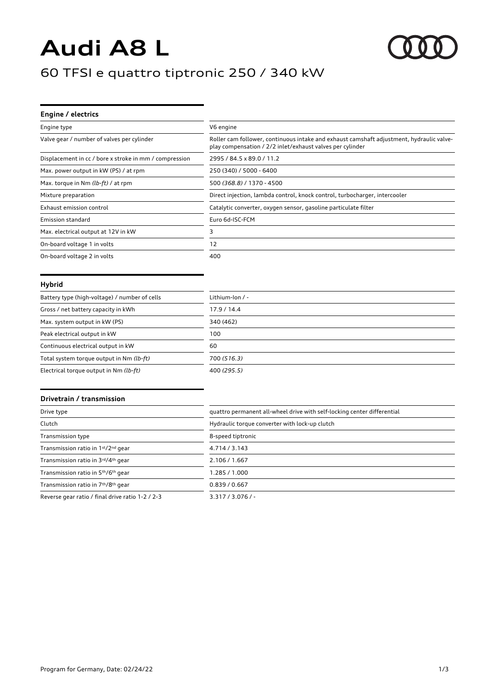# **Audi A8 L**

# 60 TFSI e quattro tiptronic 250 / 340 kW

| Engine / electrics                                     |                                                                                                                                                       |
|--------------------------------------------------------|-------------------------------------------------------------------------------------------------------------------------------------------------------|
| Engine type                                            | V6 engine                                                                                                                                             |
| Valve gear / number of valves per cylinder             | Roller cam follower, continuous intake and exhaust camshaft adjustment, hydraulic valve-<br>play compensation / 2/2 inlet/exhaust valves per cylinder |
| Displacement in cc / bore x stroke in mm / compression | 2995 / 84.5 x 89.0 / 11.2                                                                                                                             |
| Max. power output in kW (PS) / at rpm                  | 250 (340) / 5000 - 6400                                                                                                                               |
| Max. torque in Nm (lb-ft) / at rpm                     | 500 (368.8) / 1370 - 4500                                                                                                                             |
| Mixture preparation                                    | Direct injection, lambda control, knock control, turbocharger, intercooler                                                                            |
| Exhaust emission control                               | Catalytic converter, oxygen sensor, gasoline particulate filter                                                                                       |
| Emission standard                                      | Euro 6d-ISC-FCM                                                                                                                                       |
| Max. electrical output at 12V in kW                    | ٦                                                                                                                                                     |
| On-board voltage 1 in volts                            | 12                                                                                                                                                    |
| On-board voltage 2 in volts                            | 400                                                                                                                                                   |

#### **Hybrid**

| Battery type (high-voltage) / number of cells | Lithium-Ion $/$ - |
|-----------------------------------------------|-------------------|
| Gross / net battery capacity in kWh           | 17.9 / 14.4       |
| Max. system output in kW (PS)                 | 340 (462)         |
| Peak electrical output in kW                  | 100               |
| Continuous electrical output in kW            | 60                |
| Total system torque output in Nm (lb-ft)      | 700 (516.3)       |
| Electrical torque output in Nm (lb-ft)        | 400 (295.5)       |

#### **Drivetrain / transmission**

| Drive type                                       | quattro permanent all-wheel drive with self-locking center differential |
|--------------------------------------------------|-------------------------------------------------------------------------|
| Clutch                                           | Hydraulic torque converter with lock-up clutch                          |
| Transmission type                                | 8-speed tiptronic                                                       |
| Transmission ratio in 1st/2nd gear               | 4.714 / 3.143                                                           |
| Transmission ratio in 3rd/4th gear               | 2.106 / 1.667                                                           |
| Transmission ratio in 5th/6th gear               | 1.285 / 1.000                                                           |
| Transmission ratio in 7th/8th gear               | 0.839 / 0.667                                                           |
| Reverse gear ratio / final drive ratio 1-2 / 2-3 | $3.317 / 3.076 / -$                                                     |

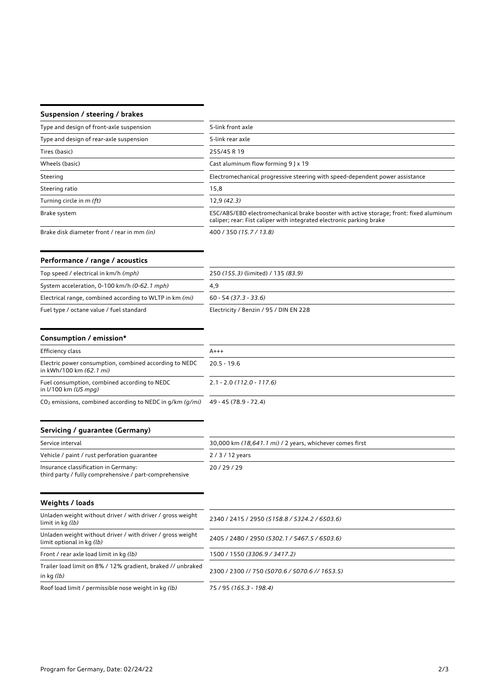### **Suspension / steering / brakes**

| Type and design of front-axle suspension    | 5-link front axle                                                                                                                                              |
|---------------------------------------------|----------------------------------------------------------------------------------------------------------------------------------------------------------------|
| Type and design of rear-axle suspension     | 5-link rear axle                                                                                                                                               |
| Tires (basic)                               | 255/45 R 19                                                                                                                                                    |
| Wheels (basic)                              | Cast aluminum flow forming 9 ] x 19                                                                                                                            |
| Steering                                    | Electromechanical progressive steering with speed-dependent power assistance                                                                                   |
| Steering ratio                              | 15,8                                                                                                                                                           |
| Turning circle in m (ft)                    | 12,9(42.3)                                                                                                                                                     |
| Brake system                                | ESC/ABS/EBD electromechanical brake booster with active storage; front: fixed aluminum<br>caliper; rear: Fist caliper with integrated electronic parking brake |
| Brake disk diameter front / rear in mm (in) | 400 / 350 (15.7 / 13.8)                                                                                                                                        |

## **Performance / range / acoustics**

| Top speed / electrical in km/h (mph)                    | 250 (155.3) (limited) / 135 (83.9)     |
|---------------------------------------------------------|----------------------------------------|
| System acceleration, 0-100 km/h (0-62.1 mph)            | 4.9                                    |
| Electrical range, combined according to WLTP in km (mi) | $60 - 54(37.3 - 33.6)$                 |
| Fuel type / octane value / fuel standard                | Electricity / Benzin / 95 / DIN EN 228 |

| Consumption / emission*                                                                        |                                                          |
|------------------------------------------------------------------------------------------------|----------------------------------------------------------|
| Efficiency class                                                                               | $A+++$                                                   |
| Electric power consumption, combined according to NEDC<br>in kWh/100 km (62.1 mi)              | $20.5 - 19.6$                                            |
| Fuel consumption, combined according to NEDC<br>in $1/100$ km (US mpg)                         | $2.1 - 2.0$ (112.0 - 117.6)                              |
| $CO2$ emissions, combined according to NEDC in g/km (g/mi)                                     | 49 - 45 (78.9 - 72.4)                                    |
| Servicing / guarantee (Germany)                                                                |                                                          |
| Service interval                                                                               | 30,000 km (18,641.1 mi) / 2 years, whichever comes first |
| Vehicle / paint / rust perforation quarantee                                                   | $2/3/12$ years                                           |
| Insurance classification in Germany:<br>third party / fully comprehensive / part-comprehensive | 20/29/29                                                 |

| Weights / loads                                                                         |                                                |
|-----------------------------------------------------------------------------------------|------------------------------------------------|
| Unladen weight without driver / with driver / gross weight<br>limit in kg (lb)          | 2340 / 2415 / 2950 (5158.8 / 5324.2 / 6503.6)  |
| Unladen weight without driver / with driver / gross weight<br>limit optional in kg (lb) | 2405 / 2480 / 2950 (5302.1 / 5467.5 / 6503.6)  |
| Front / rear axle load limit in kg (lb)                                                 | 1500 / 1550 (3306.9 / 3417.2)                  |
| Trailer load limit on 8% / 12% gradient, braked // unbraked<br>in $kg(lb)$              | 2300 / 2300 // 750 (5070.6 / 5070.6 // 1653.5) |
| Roof load limit / permissible nose weight in kg (lb)                                    | 75 / 95 (165.3 - 198.4)                        |